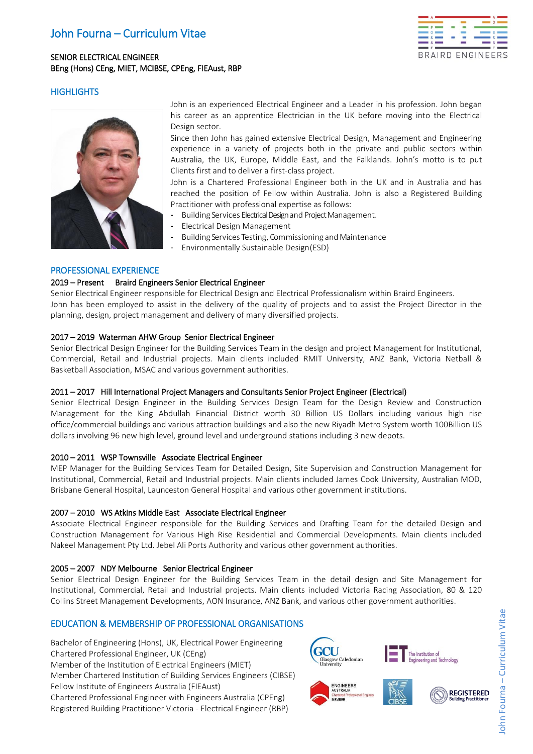# John Fourna – Curriculum Vitae

## SENIOR ELECTRICAL ENGINEER BEng (Hons) CEng, MIET, MCIBSE, CPEng, FIEAust, RBP



## **HIGHLIGHTS**



John is an experienced Electrical Engineer and a Leader in his profession. John began his career as an apprentice Electrician in the UK before moving into the Electrical Design sector.

Since then John has gained extensive Electrical Design, Management and Engineering experience in a variety of projects both in the private and public sectors within Australia, the UK, Europe, Middle East, and the Falklands. John's motto is to put Clients first and to deliver a first-class project.

John is a Chartered Professional Engineer both in the UK and in Australia and has reached the position of Fellow within Australia. John is also a Registered Building Practitioner with professional expertise as follows:

- Building Services Electrical Design and Project Management.
- Electrical Design Management
- Building Services Testing, Commissioning and Maintenance
- Environmentally Sustainable Design(ESD)

### PROFESSIONAL EXPERIENCE

#### 2019 – Present Braird Engineers Senior Electrical Engineer

Senior Electrical Engineer responsible for Electrical Design and Electrical Professionalism within Braird Engineers. John has been employed to assist in the delivery of the quality of projects and to assist the Project Director in the planning, design, project management and delivery of many diversified projects.

#### 2017 – 2019 Waterman AHW Group Senior Electrical Engineer

Senior Electrical Design Engineer for the Building Services Team in the design and project Management for Institutional, Commercial, Retail and Industrial projects. Main clients included RMIT University, ANZ Bank, Victoria Netball & Basketball Association, MSAC and various government authorities.

#### 2011 – 2017 Hill International Project Managers and Consultants Senior Project Engineer (Electrical)

Senior Electrical Design Engineer in the Building Services Design Team for the Design Review and Construction Management for the King Abdullah Financial District worth 30 Billion US Dollars including various high rise office/commercial buildings and various attraction buildings and also the new Riyadh Metro System worth 100Billion US dollars involving 96 new high level, ground level and underground stations including 3 new depots.

### 2010 – 2011 WSP Townsville Associate Electrical Engineer

MEP Manager for the Building Services Team for Detailed Design, Site Supervision and Construction Management for Institutional, Commercial, Retail and Industrial projects. Main clients included James Cook University, Australian MOD, Brisbane General Hospital, Launceston General Hospital and various other government institutions.

### 2007 – 2010 WS Atkins Middle East Associate Electrical Engineer

Associate Electrical Engineer responsible for the Building Services and Drafting Team for the detailed Design and Construction Management for Various High Rise Residential and Commercial Developments. Main clients included Nakeel Management Pty Ltd. Jebel Ali Ports Authority and various other government authorities.

### 2005 – 2007 NDY Melbourne Senior Electrical Engineer

Senior Electrical Design Engineer for the Building Services Team in the detail design and Site Management for Institutional, Commercial, Retail and Industrial projects. Main clients included Victoria Racing Association, 80 & 120 Collins Street Management Developments, AON Insurance, ANZ Bank, and various other government authorities.

### EDUCATION & MEMBERSHIP OF PROFESSIONAL ORGANISATIONS

Bachelor of Engineering (Hons), UK, Electrical Power Engineering Chartered Professional Engineer, UK (CEng) Member of the Institution of Electrical Engineers (MIET) Member Chartered Institution of Building Services Engineers (CIBSE) Fellow Institute of Engineers Australia (FIEAust) Chartered Professional Engineer with Engineers Australia (CPEng) Registered Building Practitioner Victoria - Electrical Engineer (RBP)